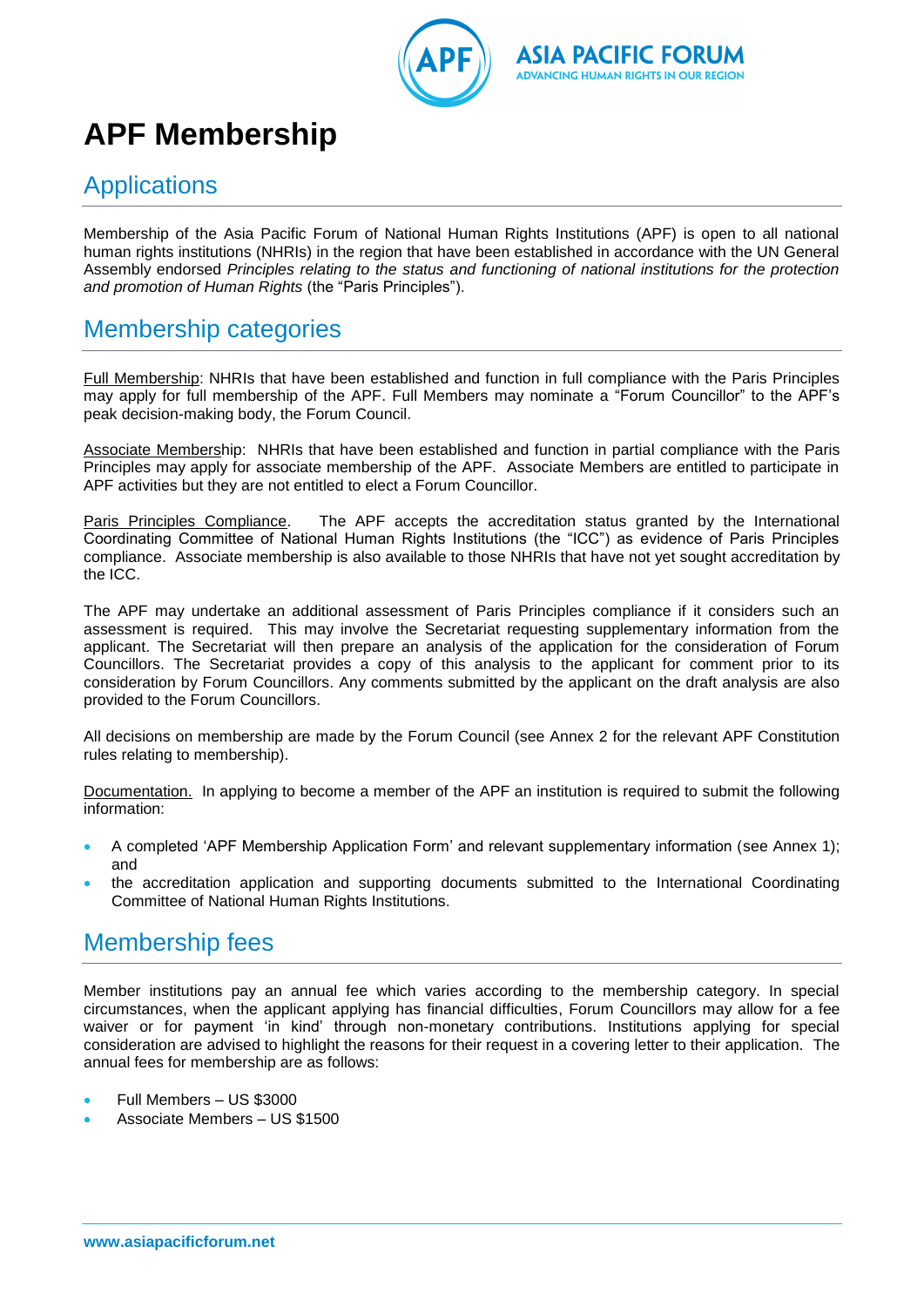



## **APF Membership**

### **Applications**

Membership of the Asia Pacific Forum of National Human Rights Institutions (APF) is open to all national human rights institutions (NHRIs) in the region that have been established in accordance with the UN General Assembly endorsed *Principles relating to the status and functioning of national institutions for the protection and promotion of Human Rights* (the "Paris Principles").

### Membership categories

Full Membership: NHRIs that have been established and function in full compliance with the Paris Principles may apply for full membership of the APF. Full Members may nominate a "Forum Councillor" to the APF's peak decision-making body, the Forum Council.

Associate Membership: NHRIs that have been established and function in partial compliance with the Paris Principles may apply for associate membership of the APF. Associate Members are entitled to participate in APF activities but they are not entitled to elect a Forum Councillor.

Paris Principles Compliance. The APF accepts the accreditation status granted by the International Coordinating Committee of National Human Rights Institutions (the "ICC") as evidence of Paris Principles compliance. Associate membership is also available to those NHRIs that have not yet sought accreditation by the ICC.

The APF may undertake an additional assessment of Paris Principles compliance if it considers such an assessment is required. This may involve the Secretariat requesting supplementary information from the applicant. The Secretariat will then prepare an analysis of the application for the consideration of Forum Councillors. The Secretariat provides a copy of this analysis to the applicant for comment prior to its consideration by Forum Councillors. Any comments submitted by the applicant on the draft analysis are also provided to the Forum Councillors.

All decisions on membership are made by the Forum Council (see Annex 2 for the relevant APF Constitution rules relating to membership).

Documentation. In applying to become a member of the APF an institution is required to submit the following information:

- A completed 'APF Membership Application Form' and relevant supplementary information (see Annex 1); and
- the accreditation application and supporting documents submitted to the International Coordinating Committee of National Human Rights Institutions.

### Membership fees

Member institutions pay an annual fee which varies according to the membership category. In special circumstances, when the applicant applying has financial difficulties, Forum Councillors may allow for a fee waiver or for payment 'in kind' through non-monetary contributions. Institutions applying for special consideration are advised to highlight the reasons for their request in a covering letter to their application. The annual fees for membership are as follows:

- Full Members US \$3000
- Associate Members US \$1500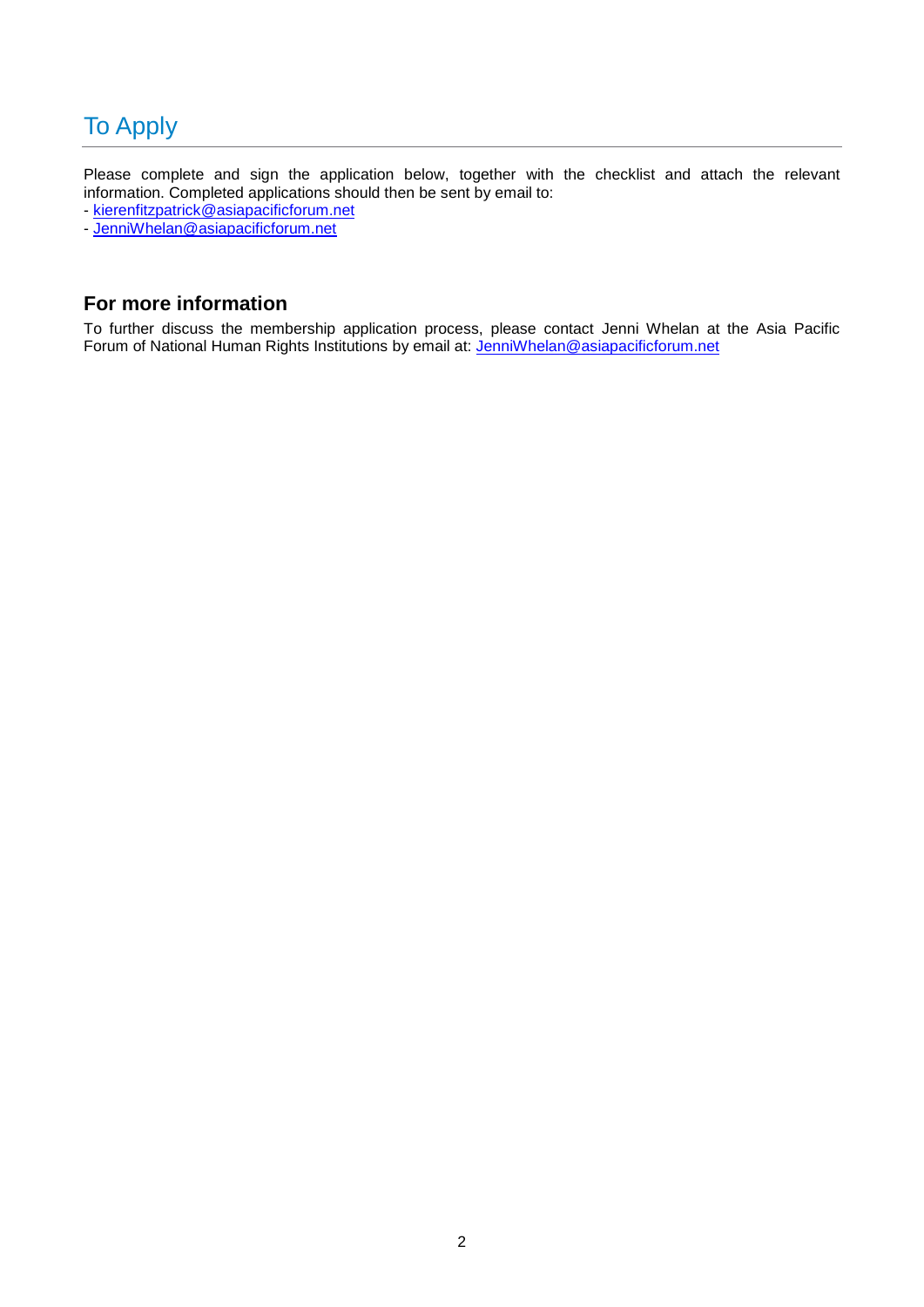## To Apply

Please complete and sign the application below, together with the checklist and attach the relevant information. Completed applications should then be sent by email to:

- [kierenfitzpatrick@asiapacificforum.net](mailto:kierenfitzpatrick@asiapacificforum.net)

- [JenniWhelan@asiapacificforum.net](mailto:JenniWhelan@asiapacificforum.net)

### **For more information**

To further discuss the membership application process, please contact Jenni Whelan at the Asia Pacific Forum of National Human Rights Institutions by email at: [JenniWhelan@asiapacificforum.net](mailto:JenniWhelan@asiapacificforum.net)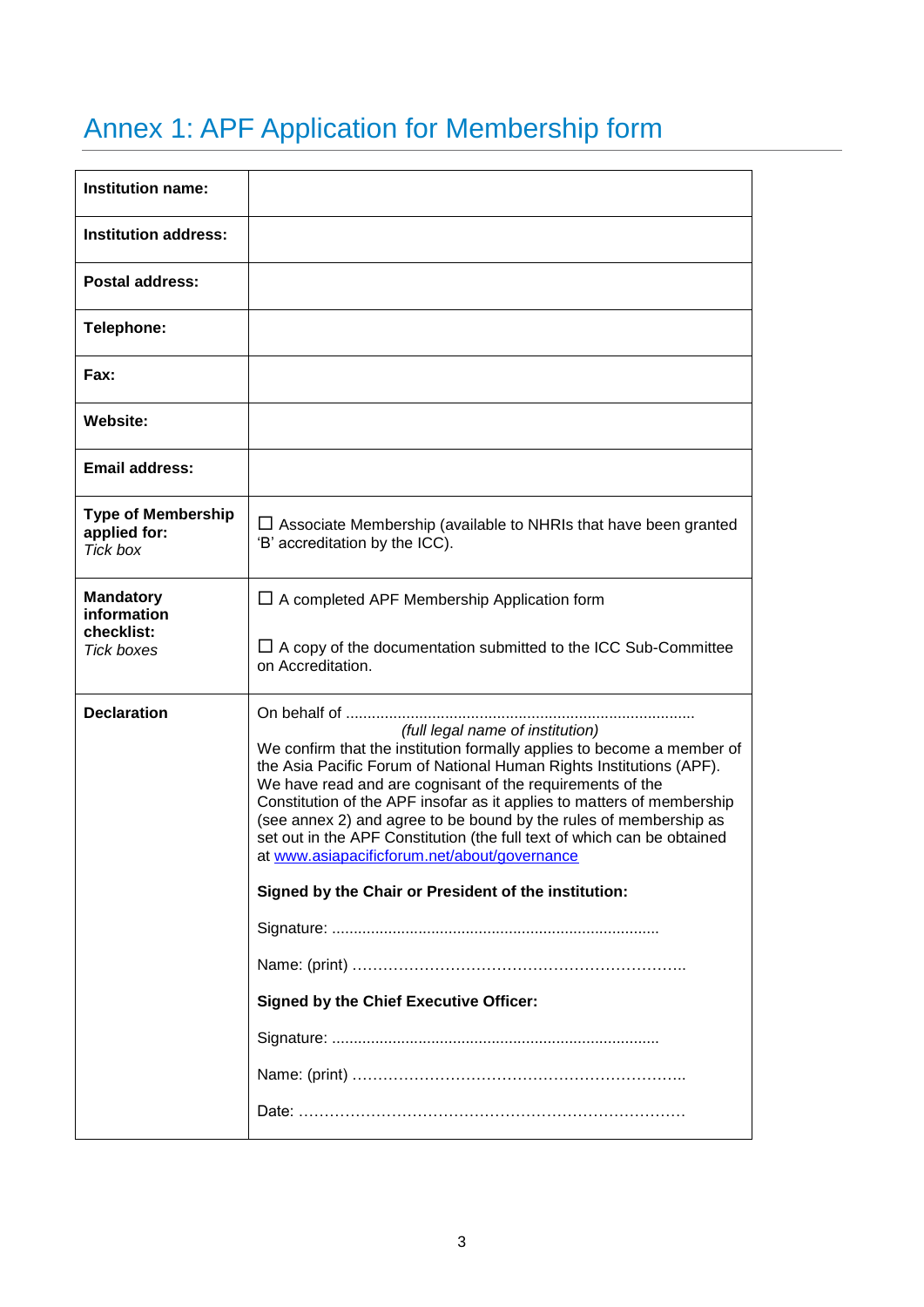# Annex 1: APF Application for Membership form

| <b>Institution name:</b>                                           |                                                                                                                                                                                                                                                                                                                                                                                                                                                                                                                          |
|--------------------------------------------------------------------|--------------------------------------------------------------------------------------------------------------------------------------------------------------------------------------------------------------------------------------------------------------------------------------------------------------------------------------------------------------------------------------------------------------------------------------------------------------------------------------------------------------------------|
| <b>Institution address:</b>                                        |                                                                                                                                                                                                                                                                                                                                                                                                                                                                                                                          |
| <b>Postal address:</b>                                             |                                                                                                                                                                                                                                                                                                                                                                                                                                                                                                                          |
| Telephone:                                                         |                                                                                                                                                                                                                                                                                                                                                                                                                                                                                                                          |
| Fax:                                                               |                                                                                                                                                                                                                                                                                                                                                                                                                                                                                                                          |
| Website:                                                           |                                                                                                                                                                                                                                                                                                                                                                                                                                                                                                                          |
| <b>Email address:</b>                                              |                                                                                                                                                                                                                                                                                                                                                                                                                                                                                                                          |
| <b>Type of Membership</b><br>applied for:<br><b>Tick box</b>       | $\Box$ Associate Membership (available to NHRIs that have been granted<br>'B' accreditation by the ICC).                                                                                                                                                                                                                                                                                                                                                                                                                 |
| <b>Mandatory</b><br>information<br>checklist:<br><b>Tick boxes</b> | $\Box$ A completed APF Membership Application form<br>$\Box$ A copy of the documentation submitted to the ICC Sub-Committee<br>on Accreditation.                                                                                                                                                                                                                                                                                                                                                                         |
| <b>Declaration</b>                                                 | (full legal name of institution)<br>We confirm that the institution formally applies to become a member of<br>the Asia Pacific Forum of National Human Rights Institutions (APF).<br>We have read and are cognisant of the requirements of the<br>Constitution of the APF insofar as it applies to matters of membership<br>(see annex 2) and agree to be bound by the rules of membership as<br>set out in the APF Constitution (the full text of which can be obtained<br>at www.asiapacificforum.net/about/governance |
|                                                                    | Signed by the Chair or President of the institution:                                                                                                                                                                                                                                                                                                                                                                                                                                                                     |
|                                                                    |                                                                                                                                                                                                                                                                                                                                                                                                                                                                                                                          |
|                                                                    |                                                                                                                                                                                                                                                                                                                                                                                                                                                                                                                          |
|                                                                    | <b>Signed by the Chief Executive Officer:</b>                                                                                                                                                                                                                                                                                                                                                                                                                                                                            |
|                                                                    |                                                                                                                                                                                                                                                                                                                                                                                                                                                                                                                          |
|                                                                    |                                                                                                                                                                                                                                                                                                                                                                                                                                                                                                                          |
|                                                                    |                                                                                                                                                                                                                                                                                                                                                                                                                                                                                                                          |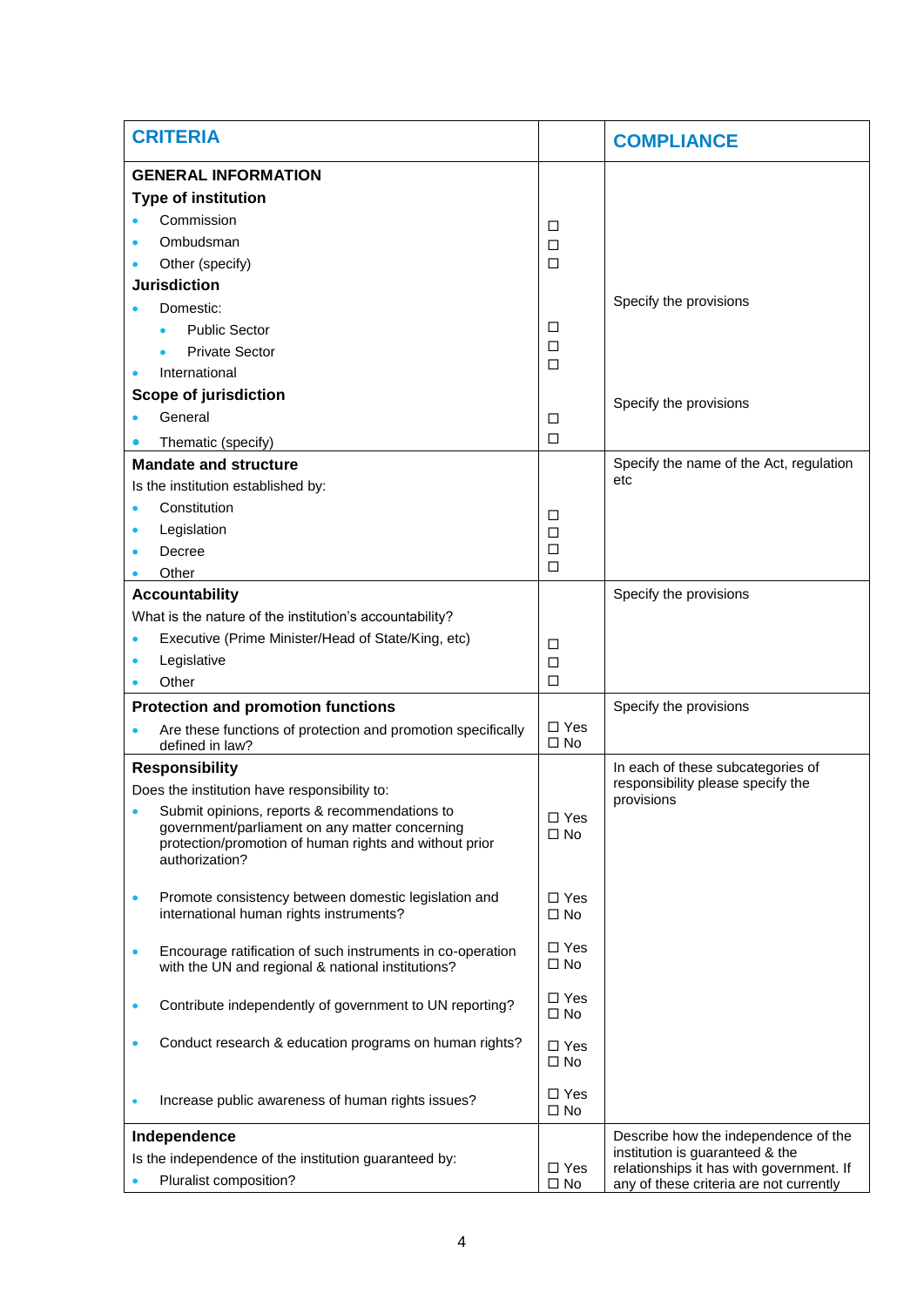| <b>CRITERIA</b>                                                                                                                                                             |                            | <b>COMPLIANCE</b>                                                           |  |
|-----------------------------------------------------------------------------------------------------------------------------------------------------------------------------|----------------------------|-----------------------------------------------------------------------------|--|
| <b>GENERAL INFORMATION</b>                                                                                                                                                  |                            |                                                                             |  |
| <b>Type of institution</b>                                                                                                                                                  |                            |                                                                             |  |
| Commission                                                                                                                                                                  | ◻                          |                                                                             |  |
| Ombudsman                                                                                                                                                                   | □                          |                                                                             |  |
| Other (specify)                                                                                                                                                             | □                          |                                                                             |  |
| <b>Jurisdiction</b>                                                                                                                                                         |                            |                                                                             |  |
| Domestic:                                                                                                                                                                   |                            | Specify the provisions                                                      |  |
| <b>Public Sector</b>                                                                                                                                                        | ◻                          |                                                                             |  |
| <b>Private Sector</b>                                                                                                                                                       | □<br>□                     |                                                                             |  |
| International                                                                                                                                                               |                            |                                                                             |  |
| Scope of jurisdiction                                                                                                                                                       |                            | Specify the provisions                                                      |  |
| General                                                                                                                                                                     | □                          |                                                                             |  |
| Thematic (specify)                                                                                                                                                          | □                          |                                                                             |  |
| <b>Mandate and structure</b>                                                                                                                                                |                            | Specify the name of the Act, regulation                                     |  |
| Is the institution established by:                                                                                                                                          |                            | etc                                                                         |  |
| Constitution                                                                                                                                                                | □                          |                                                                             |  |
| Legislation<br>۰                                                                                                                                                            | ◻                          |                                                                             |  |
| Decree                                                                                                                                                                      | □                          |                                                                             |  |
| Other                                                                                                                                                                       | □                          |                                                                             |  |
| <b>Accountability</b>                                                                                                                                                       |                            | Specify the provisions                                                      |  |
| What is the nature of the institution's accountability?                                                                                                                     |                            |                                                                             |  |
| Executive (Prime Minister/Head of State/King, etc)                                                                                                                          | ◻                          |                                                                             |  |
| Legislative<br>$\bullet$                                                                                                                                                    | $\Box$                     |                                                                             |  |
| Other                                                                                                                                                                       | $\Box$                     |                                                                             |  |
| <b>Protection and promotion functions</b>                                                                                                                                   |                            | Specify the provisions                                                      |  |
| Are these functions of protection and promotion specifically<br>defined in law?                                                                                             | $\Box$ Yes<br>$\square$ No |                                                                             |  |
| <b>Responsibility</b>                                                                                                                                                       |                            | In each of these subcategories of                                           |  |
| Does the institution have responsibility to:                                                                                                                                |                            | responsibility please specify the<br>provisions                             |  |
| Submit opinions, reports & recommendations to<br>government/parliament on any matter concerning<br>protection/promotion of human rights and without prior<br>authorization? | $\square$ Yes<br>$\Box$ No |                                                                             |  |
| Promote consistency between domestic legislation and<br>$\bullet$<br>international human rights instruments?                                                                | $\Box$ Yes<br>$\square$ No |                                                                             |  |
| Encourage ratification of such instruments in co-operation<br>$\bullet$<br>with the UN and regional & national institutions?                                                | $\Box$ Yes<br>$\square$ No |                                                                             |  |
| Contribute independently of government to UN reporting?<br>$\bullet$                                                                                                        | $\Box$ Yes<br>$\Box$ No    |                                                                             |  |
| Conduct research & education programs on human rights?<br>$\bullet$                                                                                                         | $\Box$ Yes<br>$\square$ No |                                                                             |  |
| Increase public awareness of human rights issues?                                                                                                                           | $\Box$ Yes<br>$\square$ No |                                                                             |  |
| Describe how the independence of the<br>Independence                                                                                                                        |                            |                                                                             |  |
| Is the independence of the institution guaranteed by:                                                                                                                       |                            | institution is guaranteed & the<br>relationships it has with government. If |  |
| Pluralist composition?                                                                                                                                                      |                            | any of these criteria are not currently                                     |  |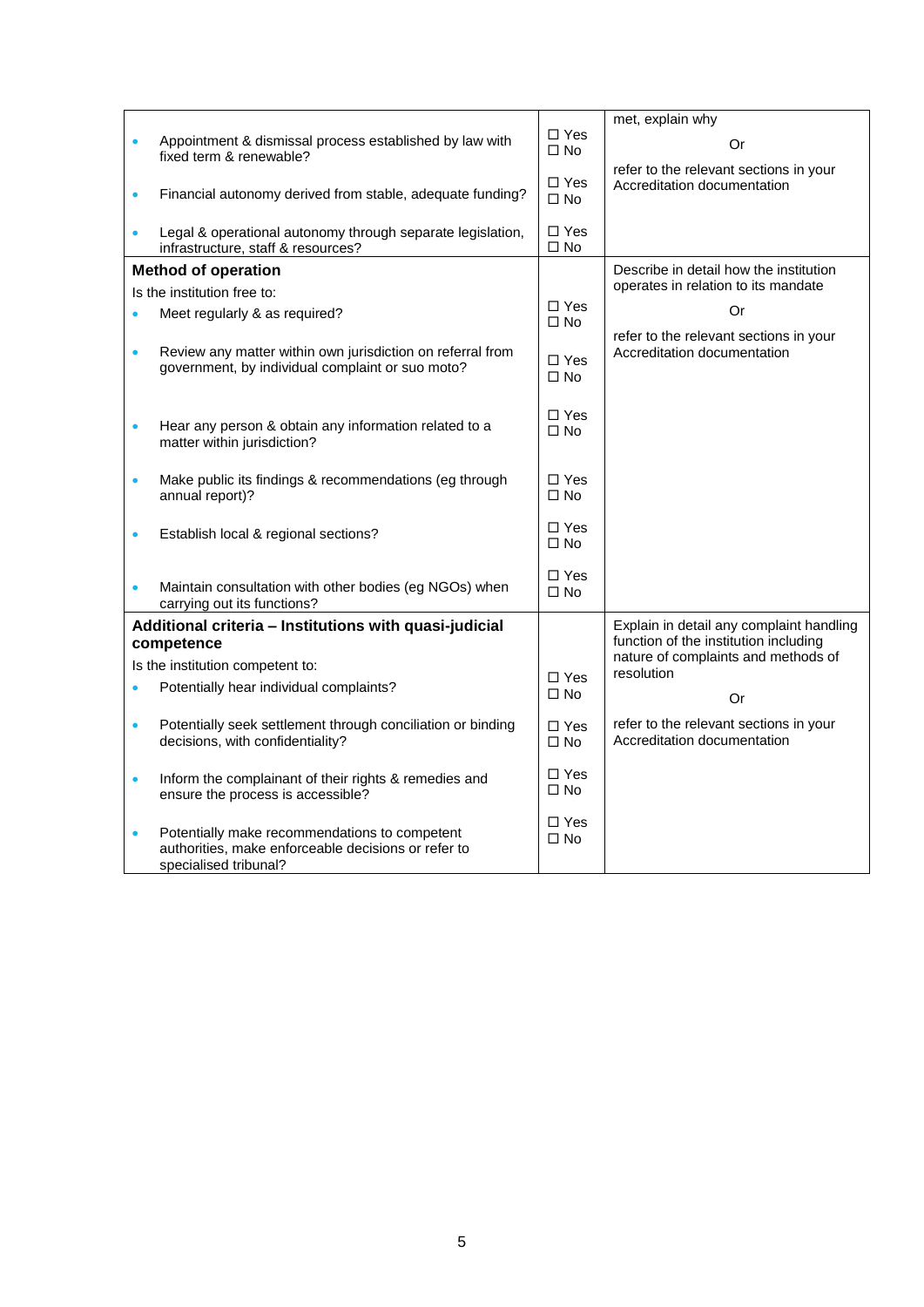|                                                                        |                                                                                                                               |                               | met, explain why                                                                  |
|------------------------------------------------------------------------|-------------------------------------------------------------------------------------------------------------------------------|-------------------------------|-----------------------------------------------------------------------------------|
| $\bullet$                                                              | Appointment & dismissal process established by law with<br>fixed term & renewable?                                            |                               | Or                                                                                |
| Financial autonomy derived from stable, adequate funding?<br>$\bullet$ |                                                                                                                               | $\square$ Yes<br>$\Box$ No    | refer to the relevant sections in your<br>Accreditation documentation             |
| $\bullet$                                                              | Legal & operational autonomy through separate legislation,<br>infrastructure, staff & resources?                              | $\Box$ Yes<br>$\square$ No    |                                                                                   |
| <b>Method of operation</b>                                             |                                                                                                                               |                               | Describe in detail how the institution                                            |
| Is the institution free to:                                            |                                                                                                                               |                               | operates in relation to its mandate                                               |
| $\bullet$                                                              | Meet regularly & as required?                                                                                                 | $\Box$ Yes<br>$\square$ No    | Or<br>refer to the relevant sections in your                                      |
| $\bullet$                                                              | Review any matter within own jurisdiction on referral from<br>government, by individual complaint or suo moto?                | $\square$ Yes<br>$\square$ No | Accreditation documentation                                                       |
| $\bullet$                                                              | Hear any person & obtain any information related to a<br>matter within jurisdiction?                                          | $\Box$ Yes<br>$\square$ No    |                                                                                   |
| $\bullet$                                                              | Make public its findings & recommendations (eg through<br>annual report)?                                                     | $\Box$ Yes<br>$\square$ No    |                                                                                   |
| $\bullet$                                                              | Establish local & regional sections?                                                                                          | $\Box$ Yes<br>$\square$ No    |                                                                                   |
| $\bullet$                                                              | Maintain consultation with other bodies (eg NGOs) when<br>carrying out its functions?                                         | $\Box$ Yes<br>$\Box$ No       |                                                                                   |
| Additional criteria - Institutions with quasi-judicial                 |                                                                                                                               |                               | Explain in detail any complaint handling<br>function of the institution including |
| competence                                                             |                                                                                                                               |                               | nature of complaints and methods of                                               |
| $\bullet$                                                              | Is the institution competent to:                                                                                              |                               | resolution                                                                        |
|                                                                        | Potentially hear individual complaints?                                                                                       | $\square$ No                  | Or                                                                                |
| $\bullet$                                                              | Potentially seek settlement through conciliation or binding<br>decisions, with confidentiality?                               | $\Box$ Yes<br>$\square$ No    | refer to the relevant sections in your<br>Accreditation documentation             |
| $\bullet$                                                              | Inform the complainant of their rights & remedies and<br>ensure the process is accessible?                                    | $\Box$ Yes<br>$\Box$ No       |                                                                                   |
| $\bullet$                                                              | Potentially make recommendations to competent<br>authorities, make enforceable decisions or refer to<br>specialised tribunal? | $\Box$ Yes<br>$\square$ No    |                                                                                   |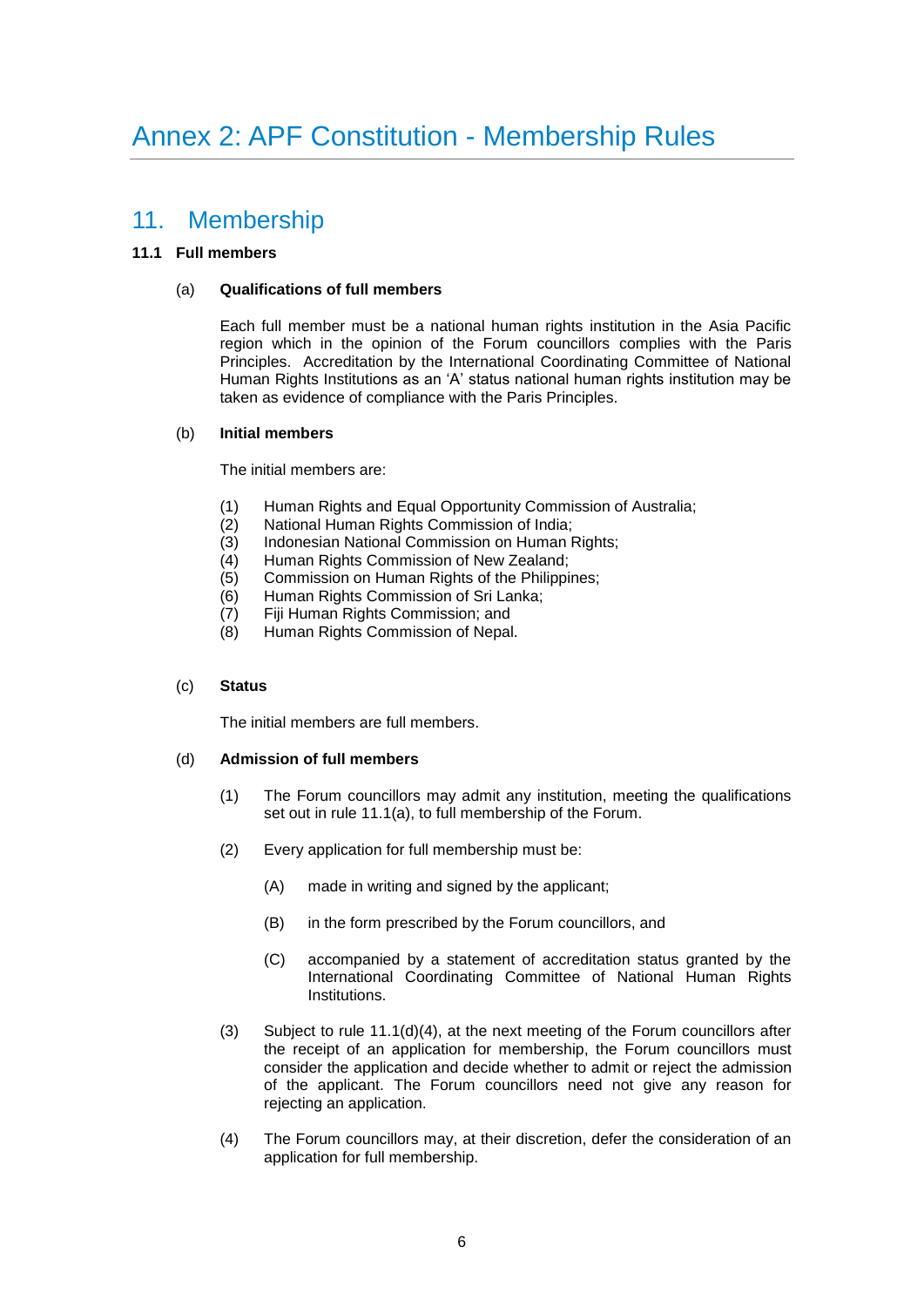### 11. Membership

#### **11.1 Full members**

#### (a) **Qualifications of full members**

Each full member must be a national human rights institution in the Asia Pacific region which in the opinion of the Forum councillors complies with the Paris Principles. Accreditation by the International Coordinating Committee of National Human Rights Institutions as an 'A' status national human rights institution may be taken as evidence of compliance with the Paris Principles.

#### (b) **Initial members**

The initial members are:

- (1) Human Rights and Equal Opportunity Commission of Australia;
- (2) National Human Rights Commission of India;
- (3) Indonesian National Commission on Human Rights;
- (4) Human Rights Commission of New Zealand;
- (5) Commission on Human Rights of the Philippines;
- (6) Human Rights Commission of Sri Lanka;
- (7) Fiji Human Rights Commission; and
- (8) Human Rights Commission of Nepal.

#### (c) **Status**

The initial members are full members.

#### (d) **Admission of full members**

- (1) The Forum councillors may admit any institution, meeting the qualifications set out in rule 11.1(a), to full membership of the Forum.
- (2) Every application for full membership must be:
	- (A) made in writing and signed by the applicant;
	- (B) in the form prescribed by the Forum councillors, and
	- (C) accompanied by a statement of accreditation status granted by the International Coordinating Committee of National Human Rights Institutions.
- (3) Subject to rule  $11.1(d)(4)$ , at the next meeting of the Forum councillors after the receipt of an application for membership, the Forum councillors must consider the application and decide whether to admit or reject the admission of the applicant. The Forum councillors need not give any reason for rejecting an application.
- (4) The Forum councillors may, at their discretion, defer the consideration of an application for full membership.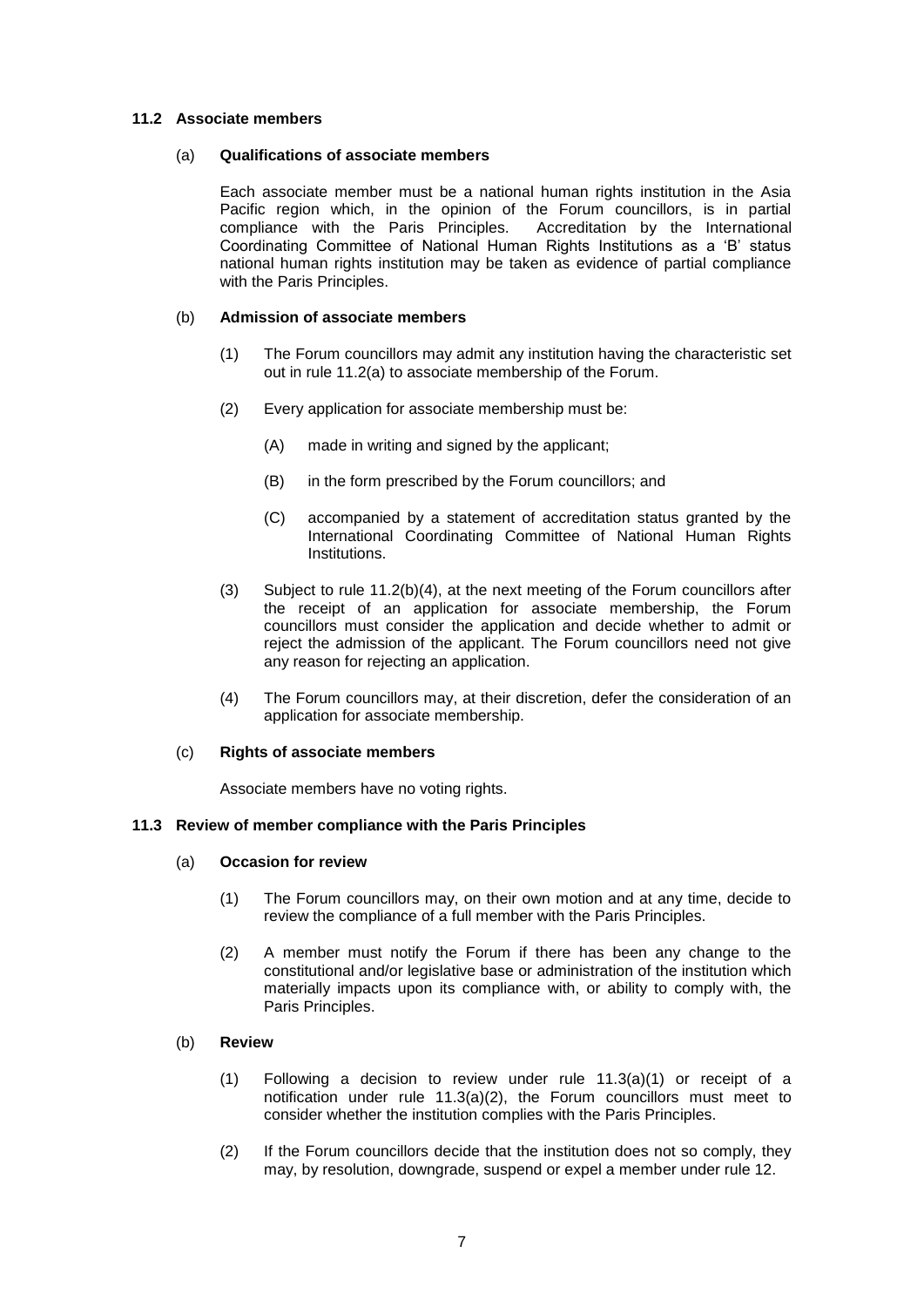#### **11.2 Associate members**

#### (a) **Qualifications of associate members**

Each associate member must be a national human rights institution in the Asia Pacific region which, in the opinion of the Forum councillors, is in partial compliance with the Paris Principles. Accreditation by the International Coordinating Committee of National Human Rights Institutions as a 'B' status national human rights institution may be taken as evidence of partial compliance with the Paris Principles.

#### (b) **Admission of associate members**

- (1) The Forum councillors may admit any institution having the characteristic set out in rule 11.2(a) to associate membership of the Forum.
- (2) Every application for associate membership must be:
	- (A) made in writing and signed by the applicant;
	- (B) in the form prescribed by the Forum councillors; and
	- (C) accompanied by a statement of accreditation status granted by the International Coordinating Committee of National Human Rights Institutions.
- (3) Subject to rule 11.2(b)(4), at the next meeting of the Forum councillors after the receipt of an application for associate membership, the Forum councillors must consider the application and decide whether to admit or reject the admission of the applicant. The Forum councillors need not give any reason for rejecting an application.
- (4) The Forum councillors may, at their discretion, defer the consideration of an application for associate membership.

#### (c) **Rights of associate members**

Associate members have no voting rights.

#### **11.3 Review of member compliance with the Paris Principles**

#### (a) **Occasion for review**

- (1) The Forum councillors may, on their own motion and at any time, decide to review the compliance of a full member with the Paris Principles.
- (2) A member must notify the Forum if there has been any change to the constitutional and/or legislative base or administration of the institution which materially impacts upon its compliance with, or ability to comply with, the Paris Principles.

#### (b) **Review**

- (1) Following a decision to review under rule 11.3(a)(1) or receipt of a notification under rule 11.3(a)(2), the Forum councillors must meet to consider whether the institution complies with the Paris Principles.
- (2) If the Forum councillors decide that the institution does not so comply, they may, by resolution, downgrade, suspend or expel a member under rule 12.